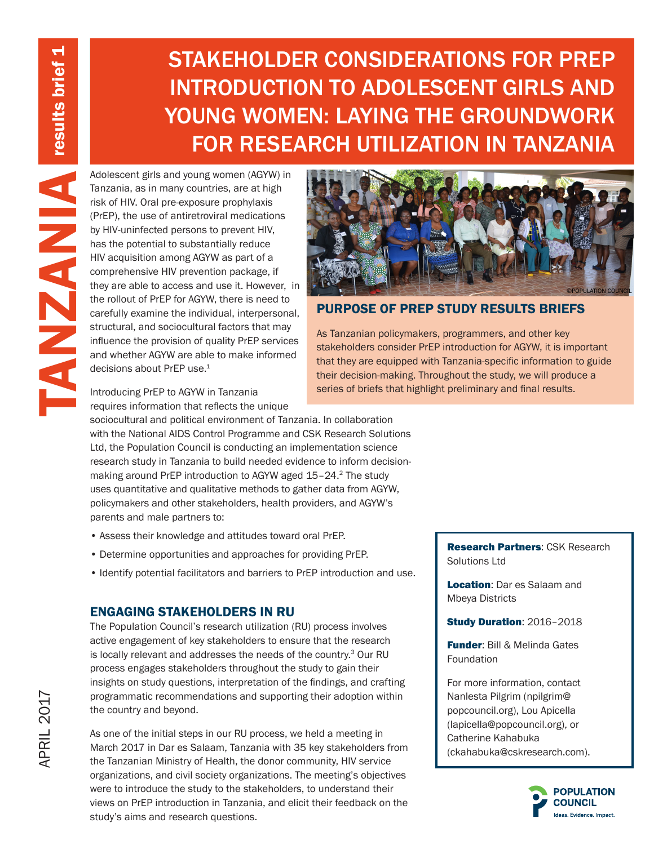# STAKEHOLDER CONSIDERATIONS FOR PREP INTRODUCTION TO ADOLESCENT GIRLS AND YOUNG WOMEN: LAYING THE GROUNDWORK FOR RESEARCH UTILIZATION IN TANZANIA

Adolescent girls and young women (AGYW) in Tanzania, as in many countries, are at high risk of HIV. Oral pre-exposure prophylaxis (P/EP), the use of antictroviral medications (by HIV-uninfected persons to prevent HIV, has Tanzania, as in many countries, are at high risk of HIV. Oral pre-exposure prophylaxis (PrEP), the use of antiretroviral medications by HIV-uninfected persons to prevent HIV, has the potential to substantially reduce HIV acquisition among AGYW as part of a comprehensive HIV prevention package, if they are able to access and use it. However, in the rollout of PrEP for AGYW, there is need to carefully examine the individual, interpersonal, structural, and sociocultural factors that may influence the provision of quality PrEP services and whether AGYW are able to make informed decisions about PrEP use.<sup>1</sup>



## PURPOSE OF PREP STUDY RESULTS BRIEFS

As Tanzanian policymakers, programmers, and other key stakeholders consider PrEP introduction for AGYW, it is important that they are equipped with Tanzania-specific information to guide their decision-making. Throughout the study, we will produce a series of briefs that highlight preliminary and final results.

Introducing PrEP to AGYW in Tanzania requires information that reflects the unique

sociocultural and political environment of Tanzania. In collaboration with the National AIDS Control Programme and CSK Research Solutions Ltd, the Population Council is conducting an implementation science research study in Tanzania to build needed evidence to inform decisionmaking around PrEP introduction to AGYW aged 15-24.<sup>2</sup> The study uses quantitative and qualitative methods to gather data from AGYW, policymakers and other stakeholders, health providers, and AGYW's parents and male partners to:

- Assess their knowledge and attitudes toward oral PrEP.
- Determine opportunities and approaches for providing PrEP.
- Identify potential facilitators and barriers to PrEP introduction and use.

# ENGAGING STAKEHOLDERS IN RU

The Population Council's research utilization (RU) process involves active engagement of key stakeholders to ensure that the research is locally relevant and addresses the needs of the country.<sup>3</sup> Our RU process engages stakeholders throughout the study to gain their insights on study questions, interpretation of the findings, and crafting programmatic recommendations and supporting their adoption within the country and beyond.

As one of the initial steps in our RU process, we held a meeting in March 2017 in Dar es Salaam, Tanzania with 35 key stakeholders from the Tanzanian Ministry of Health, the donor community, HIV service organizations, and civil society organizations. The meeting's objectives were to introduce the study to the stakeholders, to understand their views on PrEP introduction in Tanzania, and elicit their feedback on the study's aims and research questions.

Research Partners: CSK Research Solutions Ltd

Location: Dar es Salaam and Mbeya Districts

Study Duration: 2016–2018

Funder: Bill & Melinda Gates Foundation

For more information, contact Nanlesta Pilgrim (npilgrim@ popcouncil.org), Lou Apicella (lapicella@popcouncil.org), or Catherine Kahabuka (ckahabuka@cskresearch.com).